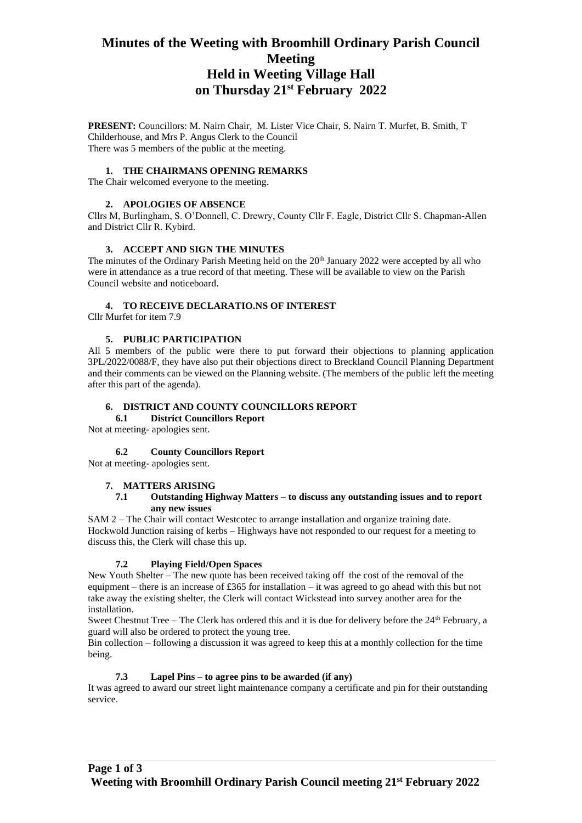# **Minutes of the Weeting with Broomhill Ordinary Parish Council Meeting Held in Weeting Village Hall on Thursday 21st February 2022**

**PRESENT:** Councillors: M. Nairn Chair, M. Lister Vice Chair, S. Nairn T. Murfet, B. Smith, T Childerhouse, and Mrs P. Angus Clerk to the Council There was 5 members of the public at the meeting.

#### **1. THE CHAIRMANS OPENING REMARKS**

The Chair welcomed everyone to the meeting.

#### **2. APOLOGIES OF ABSENCE**

Cllrs M, Burlingham, S. O'Donnell, C. Drewry, County Cllr F. Eagle, District Cllr S. Chapman-Allen and District Cllr R. Kybird.

#### **3. ACCEPT AND SIGN THE MINUTES**

The minutes of the Ordinary Parish Meeting held on the  $20<sup>th</sup>$  January 2022 were accepted by all who were in attendance as a true record of that meeting. These will be available to view on the Parish Council website and noticeboard.

#### **4. TO RECEIVE DECLARATIO.NS OF INTEREST**

Cllr Murfet for item 7.9

#### **5. PUBLIC PARTICIPATION**

All 5 members of the public were there to put forward their objections to planning application 3PL/2022/0088/F, they have also put their objections direct to Breckland Council Planning Department and their comments can be viewed on the Planning website. (The members of the public left the meeting after this part of the agenda).

#### **6. DISTRICT AND COUNTY COUNCILLORS REPORT**

## **6.1 District Councillors Report**

Not at meeting- apologies sent.

#### **6.2 County Councillors Report**

Not at meeting- apologies sent.

#### **7. MATTERS ARISING**

#### **7.1 Outstanding Highway Matters – to discuss any outstanding issues and to report any new issues**

SAM 2 – The Chair will contact Westcotec to arrange installation and organize training date. Hockwold Junction raising of kerbs – Highways have not responded to our request for a meeting to discuss this, the Clerk will chase this up.

#### **7.2 Playing Field/Open Spaces**

New Youth Shelter – The new quote has been received taking off the cost of the removal of the equipment – there is an increase of £365 for installation – it was agreed to go ahead with this but not take away the existing shelter, the Clerk will contact Wickstead into survey another area for the installation.

Sweet Chestnut Tree – The Clerk has ordered this and it is due for delivery before the 24<sup>th</sup> February, a guard will also be ordered to protect the young tree.

Bin collection – following a discussion it was agreed to keep this at a monthly collection for the time being.

#### **7.3 Lapel Pins – to agree pins to be awarded (if any)**

It was agreed to award our street light maintenance company a certificate and pin for their outstanding service.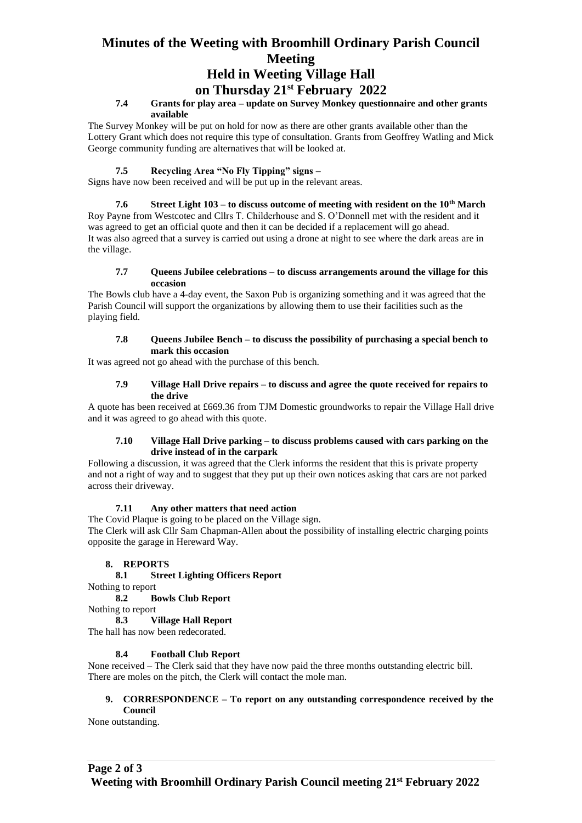# **Minutes of the Weeting with Broomhill Ordinary Parish Council Meeting**

# **Held in Weeting Village Hall**

# **on Thursday 21st February 2022**

## **7.4 Grants for play area – update on Survey Monkey questionnaire and other grants available**

The Survey Monkey will be put on hold for now as there are other grants available other than the Lottery Grant which does not require this type of consultation. Grants from Geoffrey Watling and Mick George community funding are alternatives that will be looked at.

## **7.5 Recycling Area "No Fly Tipping" signs –**

Signs have now been received and will be put up in the relevant areas.

**7.6 Street Light 103 – to discuss outcome of meeting with resident on the 10th March** Roy Payne from Westcotec and Cllrs T. Childerhouse and S. O'Donnell met with the resident and it was agreed to get an official quote and then it can be decided if a replacement will go ahead. It was also agreed that a survey is carried out using a drone at night to see where the dark areas are in the village.

#### **7.7 Queens Jubilee celebrations – to discuss arrangements around the village for this occasion**

The Bowls club have a 4-day event, the Saxon Pub is organizing something and it was agreed that the Parish Council will support the organizations by allowing them to use their facilities such as the playing field.

#### **7.8 Queens Jubilee Bench – to discuss the possibility of purchasing a special bench to mark this occasion**

It was agreed not go ahead with the purchase of this bench.

#### **7.9 Village Hall Drive repairs – to discuss and agree the quote received for repairs to the drive**

A quote has been received at £669.36 from TJM Domestic groundworks to repair the Village Hall drive and it was agreed to go ahead with this quote.

#### **7.10 Village Hall Drive parking – to discuss problems caused with cars parking on the drive instead of in the carpark**

Following a discussion, it was agreed that the Clerk informs the resident that this is private property and not a right of way and to suggest that they put up their own notices asking that cars are not parked across their driveway.

# **7.11 Any other matters that need action**

The Covid Plaque is going to be placed on the Village sign.

The Clerk will ask Cllr Sam Chapman-Allen about the possibility of installing electric charging points opposite the garage in Hereward Way.

### **8. REPORTS**

**8.1 Street Lighting Officers Report** 

Nothing to report

**8.2 Bowls Club Report**

#### Nothing to report **8.3 Village Hall Report**

The hall has now been redecorated.

# **8.4 Football Club Report**

None received – The Clerk said that they have now paid the three months outstanding electric bill. There are moles on the pitch, the Clerk will contact the mole man.

#### **9. CORRESPONDENCE – To report on any outstanding correspondence received by the Council**

None outstanding.